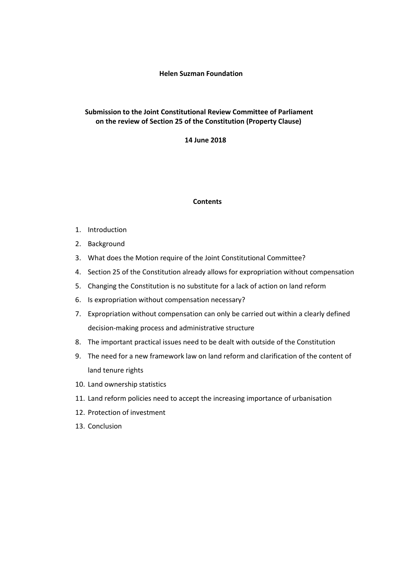# **Submission to the Joint Constitutional Review Committee of Parliament on the review of Section 25 of the Constitution (Property Clause)**

 **14 June 2018**

## **Contents**

- 1. Introduction
- 2. Background
- 3. What does the Motion require of the Joint Constitutional Committee?
- 4. Section 25 of the Constitution already allows for expropriation without compensation
- 5. Changing the Constitution is no substitute for a lack of action on land reform
- 6. Is expropriation without compensation necessary?
- 7. Expropriation without compensation can only be carried out within a clearly defined decision-making process and administrative structure
- 8. The important practical issues need to be dealt with outside of the Constitution
- 9. The need for a new framework law on land reform and clarification of the content of land tenure rights
- 10. Land ownership statistics
- 11. Land reform policies need to accept the increasing importance of urbanisation
- 12. Protection of investment
- 13. Conclusion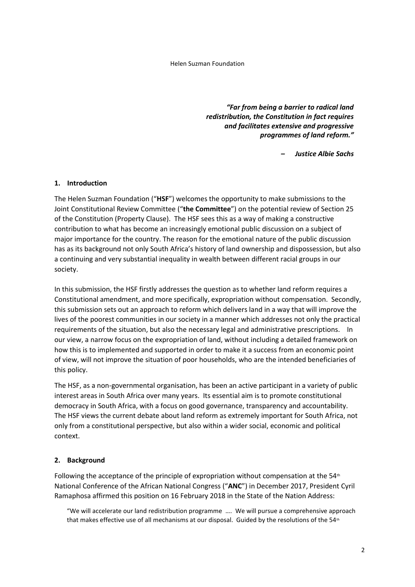*"Far from being a barrier to radical land redistribution, the Constitution in fact requires and facilitates extensive and progressive programmes of land reform."*

*– Justice Albie Sachs*

# **1. Introduction**

The Helen Suzman Foundation ("**HSF**") welcomes the opportunity to make submissions to the Joint Constitutional Review Committee ("**the Committee**") on the potential review of Section 25 of the Constitution (Property Clause). The HSF sees this as a way of making a constructive contribution to what has become an increasingly emotional public discussion on a subject of major importance for the country. The reason for the emotional nature of the public discussion has as its background not only South Africa's history of land ownership and dispossession, but also a continuing and very substantial inequality in wealth between different racial groups in our society.

In this submission, the HSF firstly addresses the question as to whether land reform requires a Constitutional amendment, and more specifically, expropriation without compensation. Secondly, this submission sets out an approach to reform which delivers land in a way that will improve the lives of the poorest communities in our society in a manner which addresses not only the practical requirements of the situation, but also the necessary legal and administrative prescriptions. In our view, a narrow focus on the expropriation of land, without including a detailed framework on how this is to implemented and supported in order to make it a success from an economic point of view, will not improve the situation of poor households, who are the intended beneficiaries of this policy.

The HSF, as a non-governmental organisation, has been an active participant in a variety of public interest areas in South Africa over many years. Its essential aim is to promote constitutional democracy in South Africa, with a focus on good governance, transparency and accountability. The HSF views the current debate about land reform as extremely important for South Africa, not only from a constitutional perspective, but also within a wider social, economic and political context.

# **2. Background**

Following the acceptance of the principle of expropriation without compensation at the  $54<sup>th</sup>$ National Conference of the African National Congress ("**ANC**") in December 2017, President Cyril Ramaphosa affirmed this position on 16 February 2018 in the State of the Nation Address:

"We will accelerate our land redistribution programme …. We will pursue a comprehensive approach that makes effective use of all mechanisms at our disposal. Guided by the resolutions of the  $54<sup>th</sup>$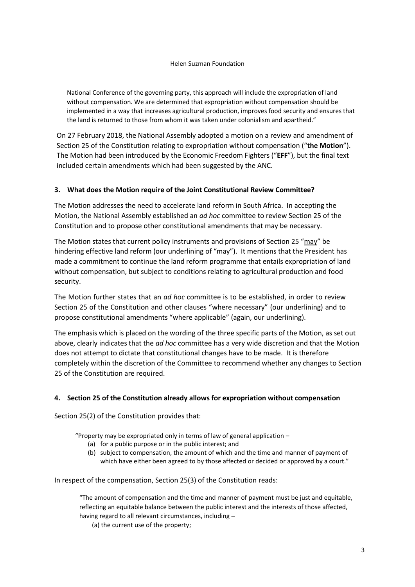National Conference of the governing party, this approach will include the expropriation of land without compensation. We are determined that expropriation without compensation should be implemented in a way that increases agricultural production, improves food security and ensures that the land is returned to those from whom it was taken under colonialism and apartheid."

On 27 February 2018, the National Assembly adopted a motion on a review and amendment of Section 25 of the Constitution relating to expropriation without compensation ("**the Motion**"). The Motion had been introduced by the Economic Freedom Fighters ("**EFF**"), but the final text included certain amendments which had been suggested by the ANC.

# **3. What does the Motion require of the Joint Constitutional Review Committee?**

The Motion addresses the need to accelerate land reform in South Africa. In accepting the Motion, the National Assembly established an *ad hoc* committee to review Section 25 of the Constitution and to propose other constitutional amendments that may be necessary.

The Motion states that current policy instruments and provisions of Section 25 "may" be hindering effective land reform (our underlining of "may"). It mentions that the President has made a commitment to continue the land reform programme that entails expropriation of land without compensation, but subject to conditions relating to agricultural production and food security.

The Motion further states that an *ad hoc* committee is to be established, in order to review Section 25 of the Constitution and other clauses "where necessary" (our underlining) and to propose constitutional amendments "where applicable" (again, our underlining).

The emphasis which is placed on the wording of the three specific parts of the Motion, as set out above, clearly indicates that the *ad hoc* committee has a very wide discretion and that the Motion does not attempt to dictate that constitutional changes have to be made. It is therefore completely within the discretion of the Committee to recommend whether any changes to Section 25 of the Constitution are required.

## **4. Section 25 of the Constitution already allows for expropriation without compensation**

Section 25(2) of the Constitution provides that:

"Property may be expropriated only in terms of law of general application –

- (a) for a public purpose or in the public interest; and
- (b) subject to compensation, the amount of which and the time and manner of payment of which have either been agreed to by those affected or decided or approved by a court."

In respect of the compensation, Section 25(3) of the Constitution reads:

"The amount of compensation and the time and manner of payment must be just and equitable, reflecting an equitable balance between the public interest and the interests of those affected, having regard to all relevant circumstances, including –

(a) the current use of the property;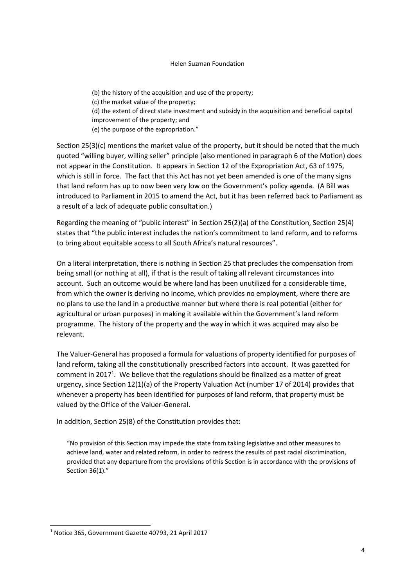(b) the history of the acquisition and use of the property; (c) the market value of the property; (d) the extent of direct state investment and subsidy in the acquisition and beneficial capital improvement of the property; and (e) the purpose of the expropriation."

Section 25(3)(c) mentions the market value of the property, but it should be noted that the much quoted "willing buyer, willing seller" principle (also mentioned in paragraph 6 of the Motion) does not appear in the Constitution. It appears in Section 12 of the Expropriation Act, 63 of 1975, which is still in force. The fact that this Act has not yet been amended is one of the many signs that land reform has up to now been very low on the Government's policy agenda. (A Bill was introduced to Parliament in 2015 to amend the Act, but it has been referred back to Parliament as a result of a lack of adequate public consultation.)

Regarding the meaning of "public interest" in Section 25(2)(a) of the Constitution, Section 25(4) states that "the public interest includes the nation's commitment to land reform, and to reforms to bring about equitable access to all South Africa's natural resources".

On a literal interpretation, there is nothing in Section 25 that precludes the compensation from being small (or nothing at all), if that is the result of taking all relevant circumstances into account. Such an outcome would be where land has been unutilized for a considerable time, from which the owner is deriving no income, which provides no employment, where there are no plans to use the land in a productive manner but where there is real potential (either for agricultural or urban purposes) in making it available within the Government's land reform programme. The history of the property and the way in which it was acquired may also be relevant.

The Valuer-General has proposed a formula for valuations of property identified for purposes of land reform, taking all the constitutionally prescribed factors into account. It was gazetted for comment in 2017<sup>1</sup>. We believe that the regulations should be finalized as a matter of great urgency, since Section 12(1)(a) of the Property Valuation Act (number 17 of 2014) provides that whenever a property has been identified for purposes of land reform, that property must be valued by the Office of the Valuer-General.

In addition, Section 25(8) of the Constitution provides that:

"No provision of this Section may impede the state from taking legislative and other measures to achieve land, water and related reform, in order to redress the results of past racial discrimination, provided that any departure from the provisions of this Section is in accordance with the provisions of Section 36(1)."

 $\overline{a}$ 

<sup>1</sup> Notice 365, Government Gazette 40793, 21 April 2017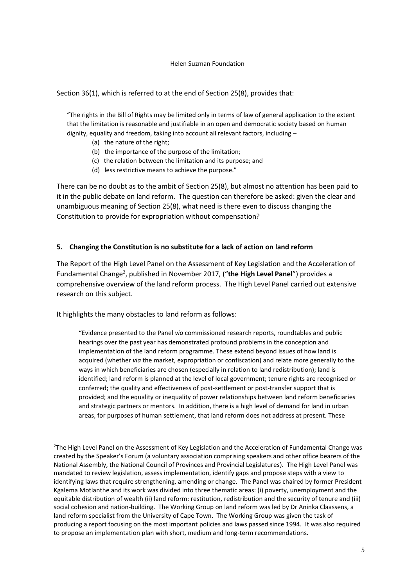Section 36(1), which is referred to at the end of Section 25(8), provides that:

"The rights in the Bill of Rights may be limited only in terms of law of general application to the extent that the limitation is reasonable and justifiable in an open and democratic society based on human dignity, equality and freedom, taking into account all relevant factors, including –

- (a) the nature of the right;
- (b) the importance of the purpose of the limitation;
- (c) the relation between the limitation and its purpose; and
- (d) less restrictive means to achieve the purpose."

There can be no doubt as to the ambit of Section 25(8), but almost no attention has been paid to it in the public debate on land reform. The question can therefore be asked: given the clear and unambiguous meaning of Section 25(8), what need is there even to discuss changing the Constitution to provide for expropriation without compensation?

## **5. Changing the Constitution is no substitute for a lack of action on land reform**

The Report of the High Level Panel on the Assessment of Key Legislation and the Acceleration of Fundamental Change<sup>2</sup>, published in November 2017, ("the High Level Panel") provides a comprehensive overview of the land reform process. The High Level Panel carried out extensive research on this subject.

It highlights the many obstacles to land reform as follows:

-

"Evidence presented to the Panel *via* commissioned research reports, roundtables and public hearings over the past year has demonstrated profound problems in the conception and implementation of the land reform programme. These extend beyond issues of how land is acquired (whether *via* the market, expropriation or confiscation) and relate more generally to the ways in which beneficiaries are chosen (especially in relation to land redistribution); land is identified; land reform is planned at the level of local government; tenure rights are recognised or conferred; the quality and effectiveness of post-settlement or post-transfer support that is provided; and the equality or inequality of power relationships between land reform beneficiaries and strategic partners or mentors. In addition, there is a high level of demand for land in urban areas, for purposes of human settlement, that land reform does not address at present. These

<sup>&</sup>lt;sup>2</sup>The High Level Panel on the Assessment of Key Legislation and the Acceleration of Fundamental Change was created by the Speaker's Forum (a voluntary association comprising speakers and other office bearers of the National Assembly, the National Council of Provinces and Provincial Legislatures). The High Level Panel was mandated to review legislation, assess implementation, identify gaps and propose steps with a view to identifying laws that require strengthening, amending or change. The Panel was chaired by former President Kgalema Motlanthe and its work was divided into three thematic areas: (i) poverty, unemployment and the equitable distribution of wealth (ii) land reform: restitution, redistribution and the security of tenure and (iii) social cohesion and nation-building. The Working Group on land reform was led by Dr Aninka Claassens, a land reform specialist from the University of Cape Town. The Working Group was given the task of producing a report focusing on the most important policies and laws passed since 1994. It was also required to propose an implementation plan with short, medium and long-term recommendations.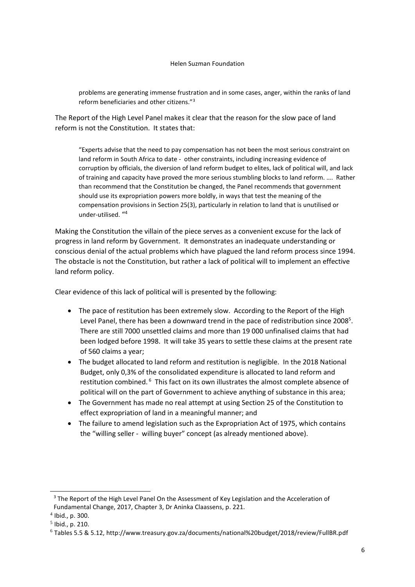problems are generating immense frustration and in some cases, anger, within the ranks of land reform beneficiaries and other citizens."<sup>3</sup>

The Report of the High Level Panel makes it clear that the reason for the slow pace of land reform is not the Constitution. It states that:

"Experts advise that the need to pay compensation has not been the most serious constraint on land reform in South Africa to date - other constraints, including increasing evidence of corruption by officials, the diversion of land reform budget to elites, lack of political will, and lack of training and capacity have proved the more serious stumbling blocks to land reform. …. Rather than recommend that the Constitution be changed, the Panel recommends that government should use its expropriation powers more boldly, in ways that test the meaning of the compensation provisions in Section 25(3), particularly in relation to land that is unutilised or under-utilised. " 4

Making the Constitution the villain of the piece serves as a convenient excuse for the lack of progress in land reform by Government. It demonstrates an inadequate understanding or conscious denial of the actual problems which have plagued the land reform process since 1994. The obstacle is not the Constitution, but rather a lack of political will to implement an effective land reform policy.

Clear evidence of this lack of political will is presented by the following:

- The pace of restitution has been extremely slow. According to the Report of the High Level Panel, there has been a downward trend in the pace of redistribution since 2008<sup>5</sup>. There are still 7000 unsettled claims and more than 19 000 unfinalised claims that had been lodged before 1998. It will take 35 years to settle these claims at the present rate of 560 claims a year;
- The budget allocated to land reform and restitution is negligible. In the 2018 National Budget, only 0,3% of the consolidated expenditure is allocated to land reform and restitution combined.<sup>6</sup> This fact on its own illustrates the almost complete absence of political will on the part of Government to achieve anything of substance in this area;
- The Government has made no real attempt at using Section 25 of the Constitution to effect expropriation of land in a meaningful manner; and
- The failure to amend legislation such as the Expropriation Act of 1975, which contains the "willing seller - willing buyer" concept (as already mentioned above).

1

<sup>&</sup>lt;sup>3</sup> The Report of the High Level Panel On the Assessment of Key Legislation and the Acceleration of Fundamental Change, 2017, Chapter 3, Dr Aninka Claassens, p. 221.

<sup>4</sup> Ibid., p. 300.

<sup>5</sup> Ibid., p. 210.

<sup>6</sup> Tables 5.5 & 5.12, http://www.treasury.gov.za/documents/national%20budget/2018/review/FullBR.pdf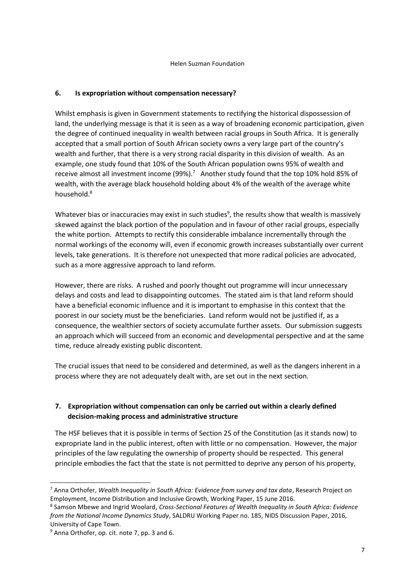# **6. Is expropriation without compensation necessary?**

Whilst emphasis is given in Government statements to rectifying the historical dispossession of land, the underlying message is that it is seen as a way of broadening economic participation, given the degree of continued inequality in wealth between racial groups in South Africa. It is generally accepted that a small portion of South African society owns a very large part of the country's wealth and further, that there is a very strong racial disparity in this division of wealth. As an example, one study found that 10% of the South African population owns 95% of wealth and receive almost all investment income (99%).<sup>7</sup> Another study found that the top 10% hold 85% of wealth, with the average black household holding about 4% of the wealth of the average white household.<sup>8</sup>

Whatever bias or inaccuracies may exist in such studies<sup>9</sup>, the results show that wealth is massively skewed against the black portion of the population and in favour of other racial groups, especially the white portion. Attempts to rectify this considerable imbalance incrementally through the normal workings of the economy will, even if economic growth increases substantially over current levels, take generations. It is therefore not unexpected that more radical policies are advocated, such as a more aggressive approach to land reform.

However, there are risks. A rushed and poorly thought out programme will incur unnecessary delays and costs and lead to disappointing outcomes. The stated aim is that land reform should have a beneficial economic influence and it is important to emphasise in this context that the poorest in our society must be the beneficiaries. Land reform would not be justified if, as a consequence, the wealthier sectors of society accumulate further assets. Our submission suggests an approach which will succeed from an economic and developmental perspective and at the same time, reduce already existing public discontent.

The crucial issues that need to be considered and determined, as well as the dangers inherent in a process where they are not adequately dealt with, are set out in the next section.

# **7. Expropriation without compensation can only be carried out within a clearly defined decision-making process and administrative structure**

The HSF believes that it is possible in terms of Section 25 of the Constitution (as it stands now) to expropriate land in the public interest, often with little or no compensation. However, the major principles of the law regulating the ownership of property should be respected. This general principle embodies the fact that the state is not permitted to deprive any person of his property,

<sup>7</sup> Anna Orthofer, *Wealth Inequality in South Africa: Evidence from survey and tax data*, Research Project on Employment, Income Distribution and Inclusive Growth, Working Paper, 15 June 2016.

<sup>8</sup> Samson Mbewe and Ingrid Woolard, *Cross-Sectional Features of Wealth Inequality in South Africa: Evidence from the National Income Dynamics Study*, SALDRU Working Paper no. 185, NIDS Discussion Paper, 2016, University of Cape Town.

<sup>&</sup>lt;sup>9</sup> Anna Orthofer, op. cit. note 7, pp. 3 and 6.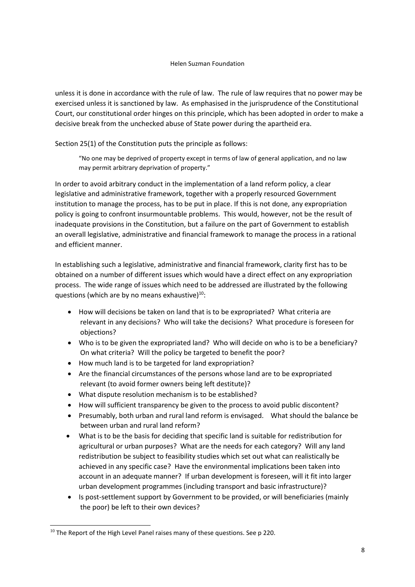unless it is done in accordance with the rule of law. The rule of law requires that no power may be exercised unless it is sanctioned by law. As emphasised in the jurisprudence of the Constitutional Court, our constitutional order hinges on this principle, which has been adopted in order to make a decisive break from the unchecked abuse of State power during the apartheid era.

Section 25(1) of the Constitution puts the principle as follows:

"No one may be deprived of property except in terms of law of general application, and no law may permit arbitrary deprivation of property."

In order to avoid arbitrary conduct in the implementation of a land reform policy, a clear legislative and administrative framework, together with a properly resourced Government institution to manage the process, has to be put in place. If this is not done, any expropriation policy is going to confront insurmountable problems. This would, however, not be the result of inadequate provisions in the Constitution, but a failure on the part of Government to establish an overall legislative, administrative and financial framework to manage the process in a rational and efficient manner.

In establishing such a legislative, administrative and financial framework, clarity first has to be obtained on a number of different issues which would have a direct effect on any expropriation process. The wide range of issues which need to be addressed are illustrated by the following questions (which are by no means exhaustive) $^{10}$ :

- How will decisions be taken on land that is to be expropriated? What criteria are relevant in any decisions? Who will take the decisions? What procedure is foreseen for objections?
- Who is to be given the expropriated land? Who will decide on who is to be a beneficiary? On what criteria? Will the policy be targeted to benefit the poor?
- How much land is to be targeted for land expropriation?
- Are the financial circumstances of the persons whose land are to be expropriated relevant (to avoid former owners being left destitute)?
- What dispute resolution mechanism is to be established?
- How will sufficient transparency be given to the process to avoid public discontent?
- Presumably, both urban and rural land reform is envisaged. What should the balance be between urban and rural land reform?
- What is to be the basis for deciding that specific land is suitable for redistribution for agricultural or urban purposes? What are the needs for each category? Will any land redistribution be subject to feasibility studies which set out what can realistically be achieved in any specific case? Have the environmental implications been taken into account in an adequate manner? If urban development is foreseen, will it fit into larger urban development programmes (including transport and basic infrastructure)?
- Is post-settlement support by Government to be provided, or will beneficiaries (mainly the poor) be left to their own devices?

 $\overline{a}$ 

<sup>&</sup>lt;sup>10</sup> The Report of the High Level Panel raises many of these questions. See p 220.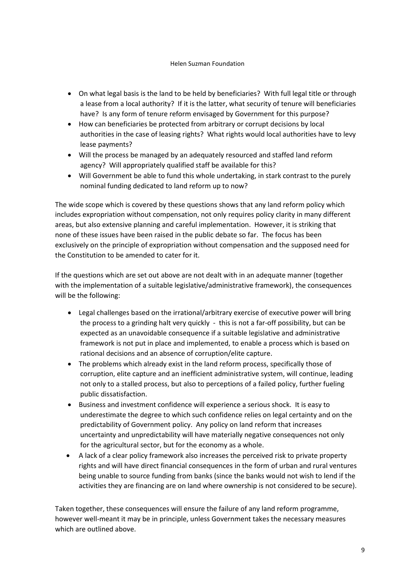- On what legal basis is the land to be held by beneficiaries? With full legal title or through a lease from a local authority? If it is the latter, what security of tenure will beneficiaries have? Is any form of tenure reform envisaged by Government for this purpose?
- How can beneficiaries be protected from arbitrary or corrupt decisions by local authorities in the case of leasing rights? What rights would local authorities have to levy lease payments?
- Will the process be managed by an adequately resourced and staffed land reform agency? Will appropriately qualified staff be available for this?
- Will Government be able to fund this whole undertaking, in stark contrast to the purely nominal funding dedicated to land reform up to now?

The wide scope which is covered by these questions shows that any land reform policy which includes expropriation without compensation, not only requires policy clarity in many different areas, but also extensive planning and careful implementation. However, it is striking that none of these issues have been raised in the public debate so far. The focus has been exclusively on the principle of expropriation without compensation and the supposed need for the Constitution to be amended to cater for it.

If the questions which are set out above are not dealt with in an adequate manner (together with the implementation of a suitable legislative/administrative framework), the consequences will be the following:

- Legal challenges based on the irrational/arbitrary exercise of executive power will bring the process to a grinding halt very quickly - this is not a far-off possibility, but can be expected as an unavoidable consequence if a suitable legislative and administrative framework is not put in place and implemented, to enable a process which is based on rational decisions and an absence of corruption/elite capture.
- The problems which already exist in the land reform process, specifically those of corruption, elite capture and an inefficient administrative system, will continue, leading not only to a stalled process, but also to perceptions of a failed policy, further fueling public dissatisfaction.
- Business and investment confidence will experience a serious shock. It is easy to underestimate the degree to which such confidence relies on legal certainty and on the predictability of Government policy. Any policy on land reform that increases uncertainty and unpredictability will have materially negative consequences not only for the agricultural sector, but for the economy as a whole.
- A lack of a clear policy framework also increases the perceived risk to private property rights and will have direct financial consequences in the form of urban and rural ventures being unable to source funding from banks (since the banks would not wish to lend if the activities they are financing are on land where ownership is not considered to be secure).

Taken together, these consequences will ensure the failure of any land reform programme, however well-meant it may be in principle, unless Government takes the necessary measures which are outlined above.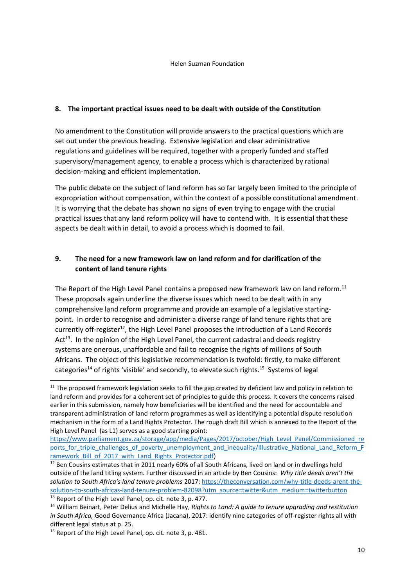## **8. The important practical issues need to be dealt with outside of the Constitution**

No amendment to the Constitution will provide answers to the practical questions which are set out under the previous heading. Extensive legislation and clear administrative regulations and guidelines will be required, together with a properly funded and staffed supervisory/management agency, to enable a process which is characterized by rational decision-making and efficient implementation.

The public debate on the subject of land reform has so far largely been limited to the principle of expropriation without compensation, within the context of a possible constitutional amendment. It is worrying that the debate has shown no signs of even trying to engage with the crucial practical issues that any land reform policy will have to contend with. It is essential that these aspects be dealt with in detail, to avoid a process which is doomed to fail.

# **9. The need for a new framework law on land reform and for clarification of the content of land tenure rights**

The Report of the High Level Panel contains a proposed new framework law on land reform.<sup>11</sup> These proposals again underline the diverse issues which need to be dealt with in any comprehensive land reform programme and provide an example of a legislative startingpoint. In order to recognise and administer a diverse range of land tenure rights that are currently off-register<sup>12</sup>, the High Level Panel proposes the introduction of a Land Records Act<sup>13</sup>. In the opinion of the High Level Panel, the current cadastral and deeds registry systems are onerous, unaffordable and fail to recognise the rights of millions of South Africans. The object of this legislative recommendation is twofold: firstly, to make different categories<sup>14</sup> of rights 'visible' and secondly, to elevate such rights.<sup>15</sup> Systems of legal

 $11$  The proposed framework legislation seeks to fill the gap created by deficient law and policy in relation to land reform and provides for a coherent set of principles to guide this process. It covers the concerns raised earlier in this submission, namely how beneficiaries will be identified and the need for accountable and transparent administration of land reform programmes as well as identifying a potential dispute resolution mechanism in the form of a Land Rights Protector. The rough draft Bill which is annexed to the Report of the High Level Panel (as L1) serves as a good starting point:

[https://www.parliament.gov.za/storage/app/media/Pages/2017/october/High\\_Level\\_Panel/Commissioned\\_re](https://www.parliament.gov.za/storage/app/media/Pages/2017/october/High_Level_Panel/Commissioned_reports_for_triple_challenges_of_poverty_unemployment_and_inequality/Illustrative_National_Land_Reform_Framework_Bill_of_2017_with_Land_Rights_Protector.pdf) ports for triple challenges of poverty unemployment and inequality/Illustrative National Land Reform F [ramework\\_Bill\\_of\\_2017\\_with\\_Land\\_Rights\\_Protector.pdf\)](https://www.parliament.gov.za/storage/app/media/Pages/2017/october/High_Level_Panel/Commissioned_reports_for_triple_challenges_of_poverty_unemployment_and_inequality/Illustrative_National_Land_Reform_Framework_Bill_of_2017_with_Land_Rights_Protector.pdf)

<sup>&</sup>lt;sup>12</sup> Ben Cousins estimates that in 2011 nearly 60% of all South Africans, lived on land or in dwellings held outside of the land titling system. Further discussed in an article by Ben Cousins: *Why title deeds aren't the solution to South Africa's land tenure problems* 2017[: https://theconversation.com/why-title-deeds-arent-the](https://theconversation.com/why-title-deeds-arent-the-solution-to-south-africas-land-tenure-problem-82098?utm_source=twitter&utm_medium=twitterbutton)[solution-to-south-africas-land-tenure-problem-82098?utm\\_source=twitter&utm\\_medium=twitterbutton](https://theconversation.com/why-title-deeds-arent-the-solution-to-south-africas-land-tenure-problem-82098?utm_source=twitter&utm_medium=twitterbutton) <sup>13</sup> Report of the High Level Panel, op. cit. note 3, p. 477.

<sup>14</sup> William Beinart, Peter Delius and Michelle Hay, *Rights to Land: A guide to tenure upgrading and restitution in South Africa,* Good Governance Africa (Jacana), 2017: identify nine categories of off-register rights all with different legal status at p. 25.

<sup>&</sup>lt;sup>15</sup> Report of the High Level Panel, op. cit. note 3, p. 481.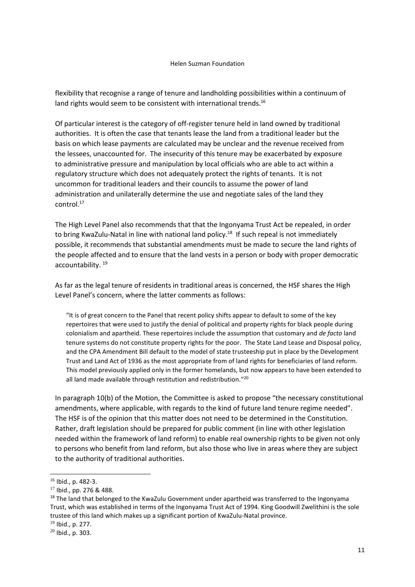flexibility that recognise a range of tenure and landholding possibilities within a continuum of land rights would seem to be consistent with international trends.<sup>16</sup>

Of particular interest is the category of off-register tenure held in land owned by traditional authorities. It is often the case that tenants lease the land from a traditional leader but the basis on which lease payments are calculated may be unclear and the revenue received from the lessees, unaccounted for. The insecurity of this tenure may be exacerbated by exposure to administrative pressure and manipulation by local officials who are able to act within a regulatory structure which does not adequately protect the rights of tenants. It is not uncommon for traditional leaders and their councils to assume the power of land administration and unilaterally determine the use and negotiate sales of the land they control.<sup>17</sup>

The High Level Panel also recommends that that the Ingonyama Trust Act be repealed, in order to bring KwaZulu-Natal in line with national land policy.<sup>18</sup> If such repeal is not immediately possible, it recommends that substantial amendments must be made to secure the land rights of the people affected and to ensure that the land vests in a person or body with proper democratic accountability.<sup>19</sup>

As far as the legal tenure of residents in traditional areas is concerned, the HSF shares the High Level Panel's concern, where the latter comments as follows:

"It is of great concern to the Panel that recent policy shifts appear to default to some of the key repertoires that were used to justify the denial of political and property rights for black people during colonialism and apartheid. These repertoires include the assumption that customary and *de facto* land tenure systems do not constitute property rights for the poor. The State Land Lease and Disposal policy, and the CPA Amendment Bill default to the model of state trusteeship put in place by the Development Trust and Land Act of 1936 as the most appropriate from of land rights for beneficiaries of land reform. This model previously applied only in the former homelands, but now appears to have been extended to all land made available through restitution and redistribution."<sup>20</sup>

In paragraph 10(b) of the Motion, the Committee is asked to propose "the necessary constitutional amendments, where applicable, with regards to the kind of future land tenure regime needed". The HSF is of the opinion that this matter does not need to be determined in the Constitution. Rather, draft legislation should be prepared for public comment (in line with other legislation needed within the framework of land reform) to enable real ownership rights to be given not only to persons who benefit from land reform, but also those who live in areas where they are subject to the authority of traditional authorities.

1

<sup>16</sup> Ibid., p. 482-3.

<sup>17</sup> Ibid., pp. 276 & 488.

 $18$  The land that belonged to the KwaZulu Government under apartheid was transferred to the Ingonyama Trust, which was established in terms of the Ingonyama Trust Act of 1994. King Goodwill Zwelithini is the sole trustee of this land which makes up a significant portion of KwaZulu-Natal province.

 $19$  Ibid., p. 277.

 $20$  Ibid., p. 303.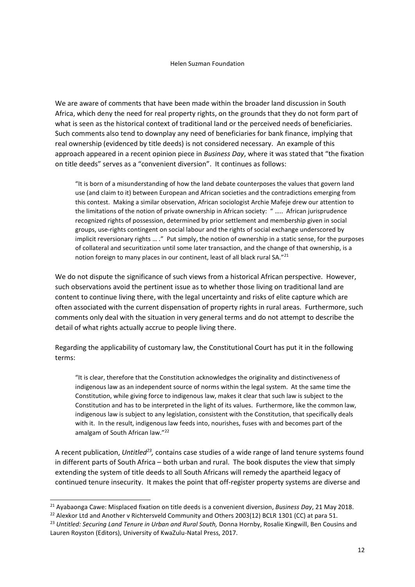We are aware of comments that have been made within the broader land discussion in South Africa, which deny the need for real property rights, on the grounds that they do not form part of what is seen as the historical context of traditional land or the perceived needs of beneficiaries. Such comments also tend to downplay any need of beneficiaries for bank finance, implying that real ownership (evidenced by title deeds) is not considered necessary. An example of this approach appeared in a recent opinion piece in *Business Day*, where it was stated that "the fixation on title deeds" serves as a "convenient diversion". It continues as follows:

"It is born of a misunderstanding of how the land debate counterposes the values that govern land use (and claim to it) between European and African societies and the contradictions emerging from this contest. Making a similar observation, African sociologist Archie Mafeje drew our attention to the limitations of the notion of private ownership in African society: " ….. African jurisprudence recognized rights of possession, determined by prior settlement and membership given in social groups, use-rights contingent on social labour and the rights of social exchange underscored by implicit reversionary rights ... ." Put simply, the notion of ownership in a static sense, for the purposes of collateral and securitization until some later transaction, and the change of that ownership, is a notion foreign to many places in our continent, least of all black rural SA."<sup>21</sup>

We do not dispute the significance of such views from a historical African perspective. However, such observations avoid the pertinent issue as to whether those living on traditional land are content to continue living there, with the legal uncertainty and risks of elite capture which are often associated with the current dispensation of property rights in rural areas. Furthermore, such comments only deal with the situation in very general terms and do not attempt to describe the detail of what rights actually accrue to people living there.

Regarding the applicability of customary law, the Constitutional Court has put it in the following terms:

"It is clear, therefore that the Constitution acknowledges the originality and distinctiveness of indigenous law as an independent source of norms within the legal system. At the same time the Constitution, while giving force to indigenous law, makes it clear that such law is subject to the Constitution and has to be interpreted in the light of its values. Furthermore, like the common law, indigenous law is subject to any legislation, consistent with the Constitution, that specifically deals with it. In the result, indigenous law feeds into, nourishes, fuses with and becomes part of the amalgam of South African law."<sup>22</sup>

A recent publication, Untitled<sup>23</sup>, contains case studies of a wide range of land tenure systems found in different parts of South Africa – both urban and rural. The book disputes the view that simply extending the system of title deeds to all South Africans will remedy the apartheid legacy of continued tenure insecurity. It makes the point that off-register property systems are diverse and

<sup>21</sup> Ayabaonga Cawe: Misplaced fixation on title deeds is a convenient diversion, *Business Day*, 21 May 2018.

<sup>&</sup>lt;sup>22</sup> Alexkor Ltd and Another v Richtersveld Community and Others 2003(12) BCLR 1301 (CC) at para 51.

<sup>&</sup>lt;sup>23</sup> Untitled: Securing Land Tenure in Urban and Rural South, Donna Hornby, Rosalie Kingwill, Ben Cousins and Lauren Royston (Editors), University of KwaZulu-Natal Press, 2017.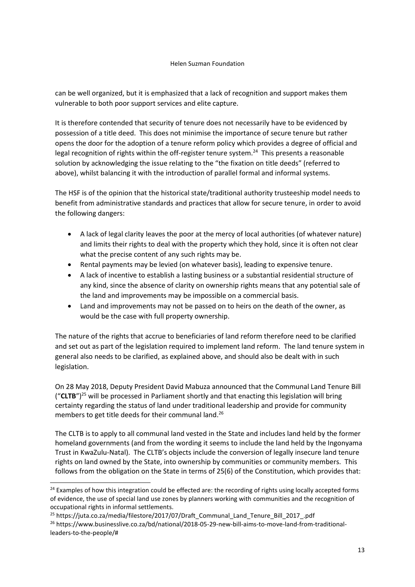can be well organized, but it is emphasized that a lack of recognition and support makes them vulnerable to both poor support services and elite capture.

It is therefore contended that security of tenure does not necessarily have to be evidenced by possession of a title deed. This does not minimise the importance of secure tenure but rather opens the door for the adoption of a tenure reform policy which provides a degree of official and legal recognition of rights within the off-register tenure system.<sup>24</sup> This presents a reasonable solution by acknowledging the issue relating to the "the fixation on title deeds" (referred to above), whilst balancing it with the introduction of parallel formal and informal systems.

The HSF is of the opinion that the historical state/traditional authority trusteeship model needs to benefit from administrative standards and practices that allow for secure tenure, in order to avoid the following dangers:

- A lack of legal clarity leaves the poor at the mercy of local authorities (of whatever nature) and limits their rights to deal with the property which they hold, since it is often not clear what the precise content of any such rights may be.
- Rental payments may be levied (on whatever basis), leading to expensive tenure.
- A lack of incentive to establish a lasting business or a substantial residential structure of any kind, since the absence of clarity on ownership rights means that any potential sale of the land and improvements may be impossible on a commercial basis.
- Land and improvements may not be passed on to heirs on the death of the owner, as would be the case with full property ownership.

The nature of the rights that accrue to beneficiaries of land reform therefore need to be clarified and set out as part of the legislation required to implement land reform. The land tenure system in general also needs to be clarified, as explained above, and should also be dealt with in such legislation.

On 28 May 2018, Deputy President David Mabuza announced that the Communal Land Tenure Bill ("**CLTB**")<sup>25</sup> will be processed in Parliament shortly and that enacting this legislation will bring certainty regarding the status of land under traditional leadership and provide for community members to get title deeds for their communal land.<sup>26</sup>

The CLTB is to apply to all communal land vested in the State and includes land held by the former homeland governments (and from the wording it seems to include the land held by the Ingonyama Trust in KwaZulu-Natal). The CLTB's objects include the conversion of legally insecure land tenure rights on land owned by the State, into ownership by communities or community members. This follows from the obligation on the State in terms of 25(6) of the Constitution, which provides that:

<sup>&</sup>lt;sup>24</sup> Examples of how this integration could be effected are: the recording of rights using locally accepted forms of evidence, the use of special land use zones by planners working with communities and the recognition of occupational rights in informal settlements.

<sup>&</sup>lt;sup>25</sup> https://juta.co.za/media/filestore/2017/07/Draft\_Communal\_Land\_Tenure\_Bill\_2017\_.pdf <sup>26</sup> https://www.businesslive.co.za/bd/national/2018-05-29-new-bill-aims-to-move-land-from-traditionalleaders-to-the-people/#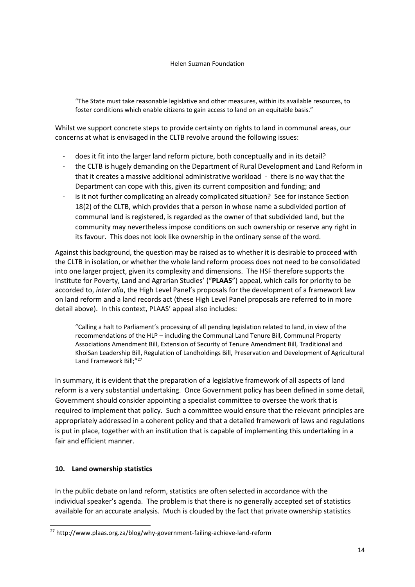"The State must take reasonable legislative and other measures, within its available resources, to foster conditions which enable citizens to gain access to land on an equitable basis."

Whilst we support concrete steps to provide certainty on rights to land in communal areas, our concerns at what is envisaged in the CLTB revolve around the following issues:

- does it fit into the larger land reform picture, both conceptually and in its detail?
- the CLTB is hugely demanding on the Department of Rural Development and Land Reform in that it creates a massive additional administrative workload - there is no way that the Department can cope with this, given its current composition and funding; and
- is it not further complicating an already complicated situation? See for instance Section 18(2) of the CLTB, which provides that a person in whose name a subdivided portion of communal land is registered, is regarded as the owner of that subdivided land, but the community may nevertheless impose conditions on such ownership or reserve any right in its favour. This does not look like ownership in the ordinary sense of the word.

Against this background, the question may be raised as to whether it is desirable to proceed with the CLTB in isolation, or whether the whole land reform process does not need to be consolidated into one larger project, given its complexity and dimensions. The HSF therefore supports the Institute for Poverty, Land and Agrarian Studies' ("**PLAAS**") appeal, which calls for priority to be accorded to, *inter alia*, the High Level Panel's proposals for the development of a framework law on land reform and a land records act (these High Level Panel proposals are referred to in more detail above). In this context, PLAAS' appeal also includes:

"Calling a halt to Parliament's processing of all pending legislation related to land, in view of the recommendations of the HLP – including the Communal Land Tenure Bill, Communal Property Associations Amendment Bill, Extension of Security of Tenure Amendment Bill, Traditional and KhoiSan Leadership Bill, Regulation of Landholdings Bill, Preservation and Development of Agricultural Land Framework Bill;"<sup>27</sup>

In summary, it is evident that the preparation of a legislative framework of all aspects of land reform is a very substantial undertaking. Once Government policy has been defined in some detail, Government should consider appointing a specialist committee to oversee the work that is required to implement that policy. Such a committee would ensure that the relevant principles are appropriately addressed in a coherent policy and that a detailed framework of laws and regulations is put in place, together with an institution that is capable of implementing this undertaking in a fair and efficient manner.

# **10. Land ownership statistics**

 $\overline{a}$ 

In the public debate on land reform, statistics are often selected in accordance with the individual speaker's agenda. The problem is that there is no generally accepted set of statistics available for an accurate analysis. Much is clouded by the fact that private ownership statistics

<sup>27</sup> http://www.plaas.org.za/blog/why-government-failing-achieve-land-reform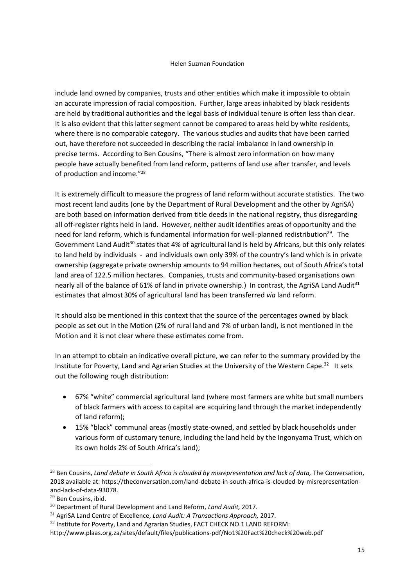include land owned by companies, trusts and other entities which make it impossible to obtain an accurate impression of racial composition. Further, large areas inhabited by black residents are held by traditional authorities and the legal basis of individual tenure is often less than clear. It is also evident that this latter segment cannot be compared to areas held by white residents, where there is no comparable category. The various studies and audits that have been carried out, have therefore not succeeded in describing the racial imbalance in land ownership in precise terms. According to Ben Cousins, "There is almost zero information on how many people have actually benefited from land reform, patterns of land use after transfer, and levels of production and income."<sup>28</sup>

It is extremely difficult to measure the progress of land reform without accurate statistics. The two most recent land audits (one by the Department of Rural Development and the other by AgriSA) are both based on information derived from title deeds in the national registry, thus disregarding all off-register rights held in land. However, neither audit identifies areas of opportunity and the need for land reform, which is fundamental information for well-planned redistribution<sup>29</sup>. The Government Land Audit<sup>30</sup> states that 4% of agricultural land is held by Africans, but this only relates to land held by individuals - and individuals own only 39% of the country's land which is in private ownership (aggregate private ownership amounts to 94 million hectares, out of South Africa's total land area of 122.5 million hectares. Companies, trusts and community-based organisations own nearly all of the balance of 61% of land in private ownership.) In contrast, the AgriSA Land Audit<sup>31</sup> estimates that almost 30% of agricultural land has been transferred *via* land reform.

It should also be mentioned in this context that the source of the percentages owned by black people as set out in the Motion (2% of rural land and 7% of urban land), is not mentioned in the Motion and it is not clear where these estimates come from.

In an attempt to obtain an indicative overall picture, we can refer to the summary provided by the Institute for Poverty, Land and Agrarian Studies at the University of the Western Cape.<sup>32</sup> It sets out the following rough distribution:

- 67% "white" commercial agricultural land (where most farmers are white but small numbers of black farmers with access to capital are acquiring land through the market independently of land reform);
- 15% "black" communal areas (mostly state-owned, and settled by black households under various form of customary tenure, including the land held by the Ingonyama Trust, which on its own holds 2% of South Africa's land);

<sup>&</sup>lt;sup>28</sup> Ben Cousins, *Land debate in South Africa is clouded by misrepresentation and lack of data, The Conversation,* 2018 available at: https://theconversation.com/land-debate-in-south-africa-is-clouded-by-misrepresentationand-lack-of-data-93078.

<sup>29</sup> Ben Cousins, ibid.

<sup>30</sup> Department of Rural Development and Land Reform, *Land Audit,* 2017.

<sup>31</sup> AgriSA Land Centre of Excellence, *Land Audit: A Transactions Approach,* 2017.

 $32$  Institute for Poverty, Land and Agrarian Studies, FACT CHECK NO.1 LAND REFORM:

http://www.plaas.org.za/sites/default/files/publications-pdf/No1%20Fact%20check%20web.pdf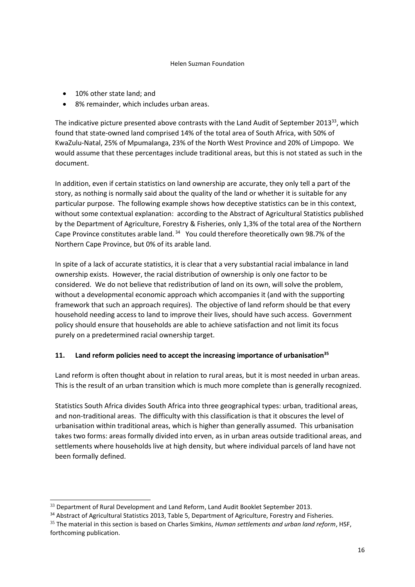- 10% other state land; and
- 8% remainder, which includes urban areas.

The indicative picture presented above contrasts with the Land Audit of September 2013<sup>33</sup>, which found that state-owned land comprised 14% of the total area of South Africa, with 50% of KwaZulu-Natal, 25% of Mpumalanga, 23% of the North West Province and 20% of Limpopo. We would assume that these percentages include traditional areas, but this is not stated as such in the document.

In addition, even if certain statistics on land ownership are accurate, they only tell a part of the story, as nothing is normally said about the quality of the land or whether it is suitable for any particular purpose. The following example shows how deceptive statistics can be in this context, without some contextual explanation: according to the Abstract of Agricultural Statistics published by the Department of Agriculture, Forestry & Fisheries, only 1,3% of the total area of the Northern Cape Province constitutes arable land.  $34$  You could therefore theoretically own 98.7% of the Northern Cape Province, but 0% of its arable land.

In spite of a lack of accurate statistics, it is clear that a very substantial racial imbalance in land ownership exists. However, the racial distribution of ownership is only one factor to be considered. We do not believe that redistribution of land on its own, will solve the problem, without a developmental economic approach which accompanies it (and with the supporting framework that such an approach requires). The objective of land reform should be that every household needing access to land to improve their lives, should have such access. Government policy should ensure that households are able to achieve satisfaction and not limit its focus purely on a predetermined racial ownership target.

# **11. Land reform policies need to accept the increasing importance of urbanisation<sup>35</sup>**

Land reform is often thought about in relation to rural areas, but it is most needed in urban areas. This is the result of an urban transition which is much more complete than is generally recognized.

Statistics South Africa divides South Africa into three geographical types: urban, traditional areas, and non-traditional areas. The difficulty with this classification is that it obscures the level of urbanisation within traditional areas, which is higher than generally assumed. This urbanisation takes two forms: areas formally divided into erven, as in urban areas outside traditional areas, and settlements where households live at high density, but where individual parcels of land have not been formally defined.

<sup>&</sup>lt;sup>33</sup> Department of Rural Development and Land Reform, Land Audit Booklet September 2013.

<sup>34</sup> Abstract of Agricultural Statistics 2013, Table 5, Department of Agriculture, Forestry and Fisheries.

<sup>35</sup> The material in this section is based on Charles Simkins, *Human settlements and urban land reform*, HSF, forthcoming publication.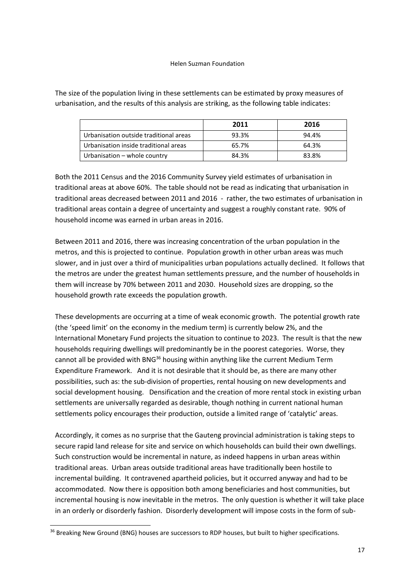The size of the population living in these settlements can be estimated by proxy measures of urbanisation, and the results of this analysis are striking, as the following table indicates:

|                                        | 2011  | 2016  |
|----------------------------------------|-------|-------|
| Urbanisation outside traditional areas | 93.3% | 94.4% |
| Urbanisation inside traditional areas  | 65.7% | 64.3% |
| Urbanisation - whole country           | 84.3% | 83.8% |

Both the 2011 Census and the 2016 Community Survey yield estimates of urbanisation in traditional areas at above 60%. The table should not be read as indicating that urbanisation in traditional areas decreased between 2011 and 2016 - rather, the two estimates of urbanisation in traditional areas contain a degree of uncertainty and suggest a roughly constant rate. 90% of household income was earned in urban areas in 2016.

Between 2011 and 2016, there was increasing concentration of the urban population in the metros, and this is projected to continue. Population growth in other urban areas was much slower, and in just over a third of municipalities urban populations actually declined. It follows that the metros are under the greatest human settlements pressure, and the number of households in them will increase by 70% between 2011 and 2030. Household sizes are dropping, so the household growth rate exceeds the population growth.

These developments are occurring at a time of weak economic growth. The potential growth rate (the 'speed limit' on the economy in the medium term) is currently below 2%, and the International Monetary Fund projects the situation to continue to 2023. The result is that the new households requiring dwellings will predominantly be in the poorest categories. Worse, they cannot all be provided with BNG<sup>36</sup> housing within anything like the current Medium Term Expenditure Framework. And it is not desirable that it should be, as there are many other possibilities, such as: the sub-division of properties, rental housing on new developments and social development housing. Densification and the creation of more rental stock in existing urban settlements are universally regarded as desirable, though nothing in current national human settlements policy encourages their production, outside a limited range of 'catalytic' areas.

Accordingly, it comes as no surprise that the Gauteng provincial administration is taking steps to secure rapid land release for site and service on which households can build their own dwellings. Such construction would be incremental in nature, as indeed happens in urban areas within traditional areas. Urban areas outside traditional areas have traditionally been hostile to incremental building. It contravened apartheid policies, but it occurred anyway and had to be accommodated. Now there is opposition both among beneficiaries and host communities, but incremental housing is now inevitable in the metros. The only question is whether it will take place in an orderly or disorderly fashion. Disorderly development will impose costs in the form of sub-

 $\overline{a}$ 

<sup>&</sup>lt;sup>36</sup> Breaking New Ground (BNG) houses are successors to RDP houses, but built to higher specifications.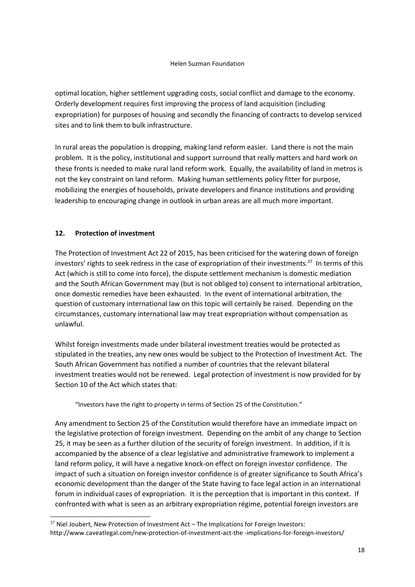optimal location, higher settlement upgrading costs, social conflict and damage to the economy. Orderly development requires first improving the process of land acquisition (including expropriation) for purposes of housing and secondly the financing of contracts to develop serviced sites and to link them to bulk infrastructure.

In rural areas the population is dropping, making land reform easier. Land there is not the main problem. It is the policy, institutional and support surround that really matters and hard work on these fronts is needed to make rural land reform work. Equally, the availability of land in metros is not the key constraint on land reform. Making human settlements policy fitter for purpose, mobilizing the energies of households, private developers and finance institutions and providing leadership to encouraging change in outlook in urban areas are all much more important.

# **12. Protection of investment**

-

The Protection of Investment Act 22 of 2015, has been criticised for the watering down of foreign investors' rights to seek redress in the case of expropriation of their investments.<sup>37</sup> In terms of this Act (which is still to come into force), the dispute settlement mechanism is domestic mediation and the South African Government may (but is not obliged to) consent to international arbitration, once domestic remedies have been exhausted. In the event of international arbitration, the question of customary international law on this topic will certainly be raised. Depending on the circumstances, customary international law may treat expropriation without compensation as unlawful.

Whilst foreign investments made under bilateral investment treaties would be protected as stipulated in the treaties, any new ones would be subject to the Protection of Investment Act. The South African Government has notified a number of countries that the relevant bilateral investment treaties would not be renewed. Legal protection of investment is now provided for by Section 10 of the Act which states that:

"Investors have the right to property in terms of Section 25 of the Constitution."

Any amendment to Section 25 of the Constitution would therefore have an immediate impact on the legislative protection of foreign investment. Depending on the ambit of any change to Section 25, it may be seen as a further dilution of the security of foreign investment. In addition, if it is accompanied by the absence of a clear legislative and administrative framework to implement a land reform policy, it will have a negative knock-on effect on foreign investor confidence. The impact of such a situation on foreign investor confidence is of greater significance to South Africa's economic development than the danger of the State having to face legal action in an international forum in individual cases of expropriation. It is the perception that is important in this context. If confronted with what is seen as an arbitrary expropriation régime, potential foreign investors are

 $37$  Niel Joubert, New Protection of Investment Act – The Implications for Foreign Investors: http://www.caveatlegal.com/new-protection-of-investment-act-the -implications-for-foreign-investors/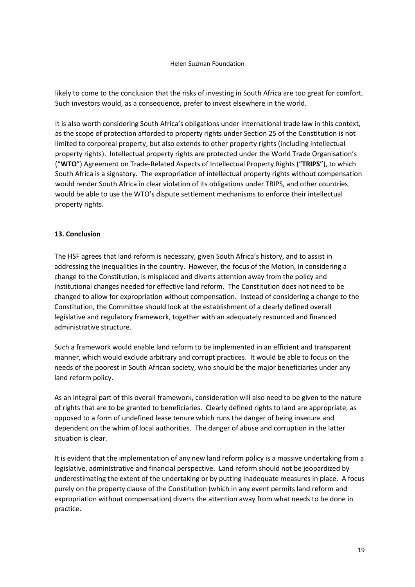likely to come to the conclusion that the risks of investing in South Africa are too great for comfort. Such investors would, as a consequence, prefer to invest elsewhere in the world.

It is also worth considering South Africa's obligations under international trade law in this context, as the scope of protection afforded to property rights under Section 25 of the Constitution is not limited to corporeal property, but also extends to other property rights (including intellectual property rights). Intellectual property rights are protected under the World Trade Organisation's ("**WTO**") Agreement on Trade-Related Aspects of Intellectual Property Rights ("**TRIPS**"), to which South Africa is a signatory. The expropriation of intellectual property rights without compensation would render South Africa in clear violation of its obligations under TRIPS, and other countries would be able to use the WTO's dispute settlement mechanisms to enforce their intellectual property rights.

# **13. Conclusion**

The HSF agrees that land reform is necessary, given South Africa's history, and to assist in addressing the inequalities in the country. However, the focus of the Motion, in considering a change to the Constitution, is misplaced and diverts attention away from the policy and institutional changes needed for effective land reform. The Constitution does not need to be changed to allow for expropriation without compensation. Instead of considering a change to the Constitution, the Committee should look at the establishment of a clearly defined overall legislative and regulatory framework, together with an adequately resourced and financed administrative structure.

Such a framework would enable land reform to be implemented in an efficient and transparent manner, which would exclude arbitrary and corrupt practices. It would be able to focus on the needs of the poorest in South African society, who should be the major beneficiaries under any land reform policy.

As an integral part of this overall framework, consideration will also need to be given to the nature of rights that are to be granted to beneficiaries. Clearly defined rights to land are appropriate, as opposed to a form of undefined lease tenure which runs the danger of being insecure and dependent on the whim of local authorities. The danger of abuse and corruption in the latter situation is clear.

It is evident that the implementation of any new land reform policy is a massive undertaking from a legislative, administrative and financial perspective. Land reform should not be jeopardized by underestimating the extent of the undertaking or by putting inadequate measures in place. A focus purely on the property clause of the Constitution (which in any event permits land reform and expropriation without compensation) diverts the attention away from what needs to be done in practice.